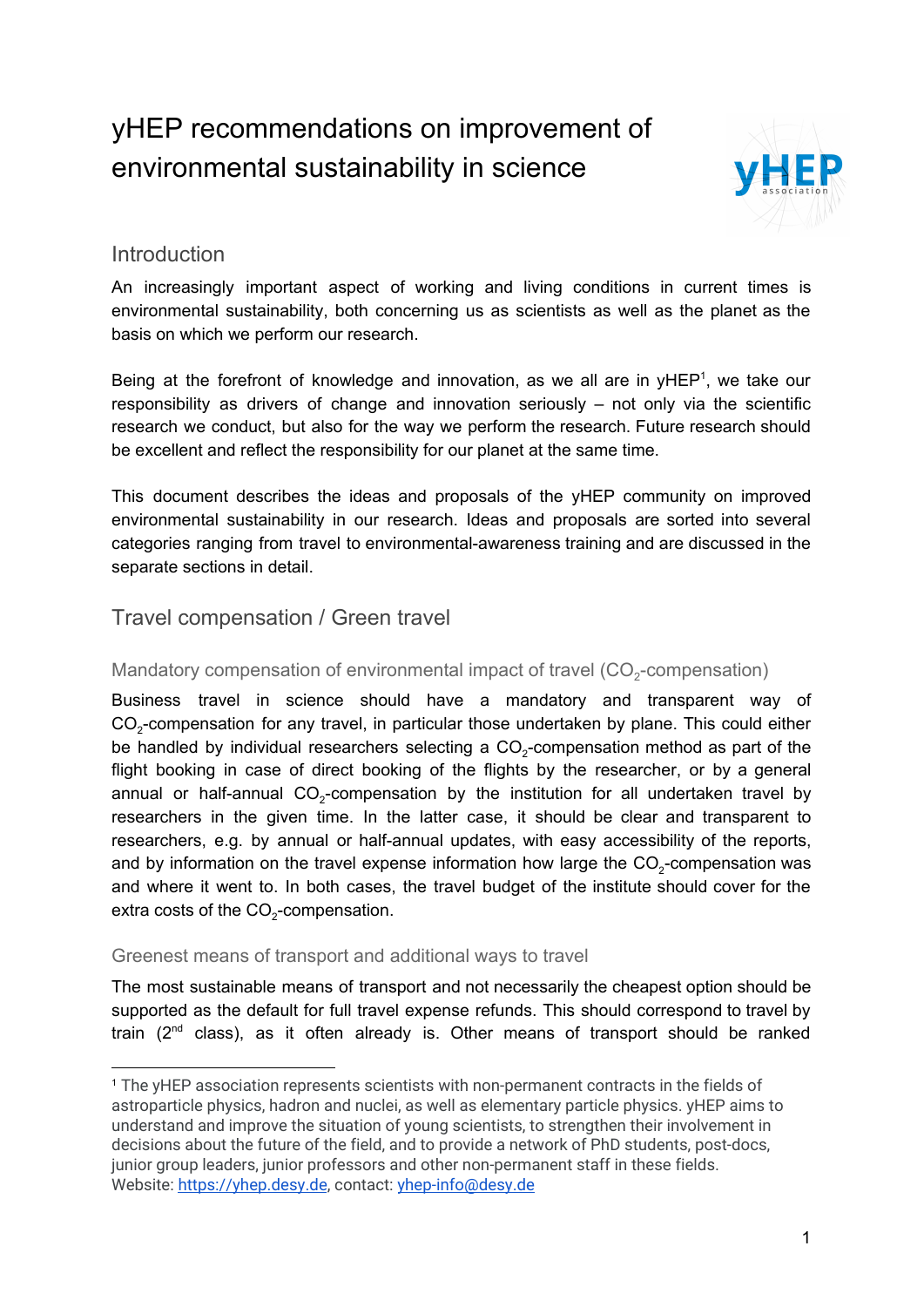# yHEP recommendations on improvement of environmental sustainability in science



#### Introduction

An increasingly important aspect of working and living conditions in current times is environmental sustainability, both concerning us as scientists as well as the planet as the basis on which we perform our research.

Being at the forefront of knowledge and innovation, as we all are in  $yHEP<sup>1</sup>$ , we take our responsibility as drivers of change and innovation seriously – not only via the scientific research we conduct, but also for the way we perform the research. Future research should be excellent and reflect the responsibility for our planet at the same time.

This document describes the ideas and proposals of the yHEP community on improved environmental sustainability in our research. Ideas and proposals are sorted into several categories ranging from travel to environmental-awareness training and are discussed in the separate sections in detail.

### Travel compensation / Green travel

# Mandatory compensation of environmental impact of travel (CO<sub>2</sub>-compensation)

Business travel in science should have a mandatory and transparent way of  $CO_{2}$ -compensation for any travel, in particular those undertaken by plane. This could either be handled by individual researchers selecting a CO<sub>2</sub>-compensation method as part of the flight booking in case of direct booking of the flights by the researcher, or by a general annual or half-annual  $CO_2$ -compensation by the institution for all undertaken travel by researchers in the given time. In the latter case, it should be clear and transparent to researchers, e.g. by annual or half-annual updates, with easy accessibility of the reports, and by information on the travel expense information how large the  $\text{CO}_2$ -compensation was and where it went to. In both cases, the travel budget of the institute should cover for the extra costs of the CO<sub>2</sub>-compensation.

#### Greenest means of transport and additional ways to travel

The most sustainable means of transport and not necessarily the cheapest option should be supported as the default for full travel expense refunds. This should correspond to travel by train  $(2^{nd}$  class), as it often already is. Other means of transport should be ranked

<sup>1</sup> The yHEP association represents scientists with non-permanent contracts in the fields of astroparticle physics, hadron and nuclei, as well as elementary particle physics. yHEP aims to understand and improve the situation of young scientists, to strengthen their involvement in decisions about the future of the field, and to provide a network of PhD students, post-docs, junior group leaders, junior professors and other non-permanent staff in these fields. Website: [https://yhep.desy.de](https://yhep.desy.de/), contact: [yhep-info@desy.de](mailto:yhep-info@desy.de)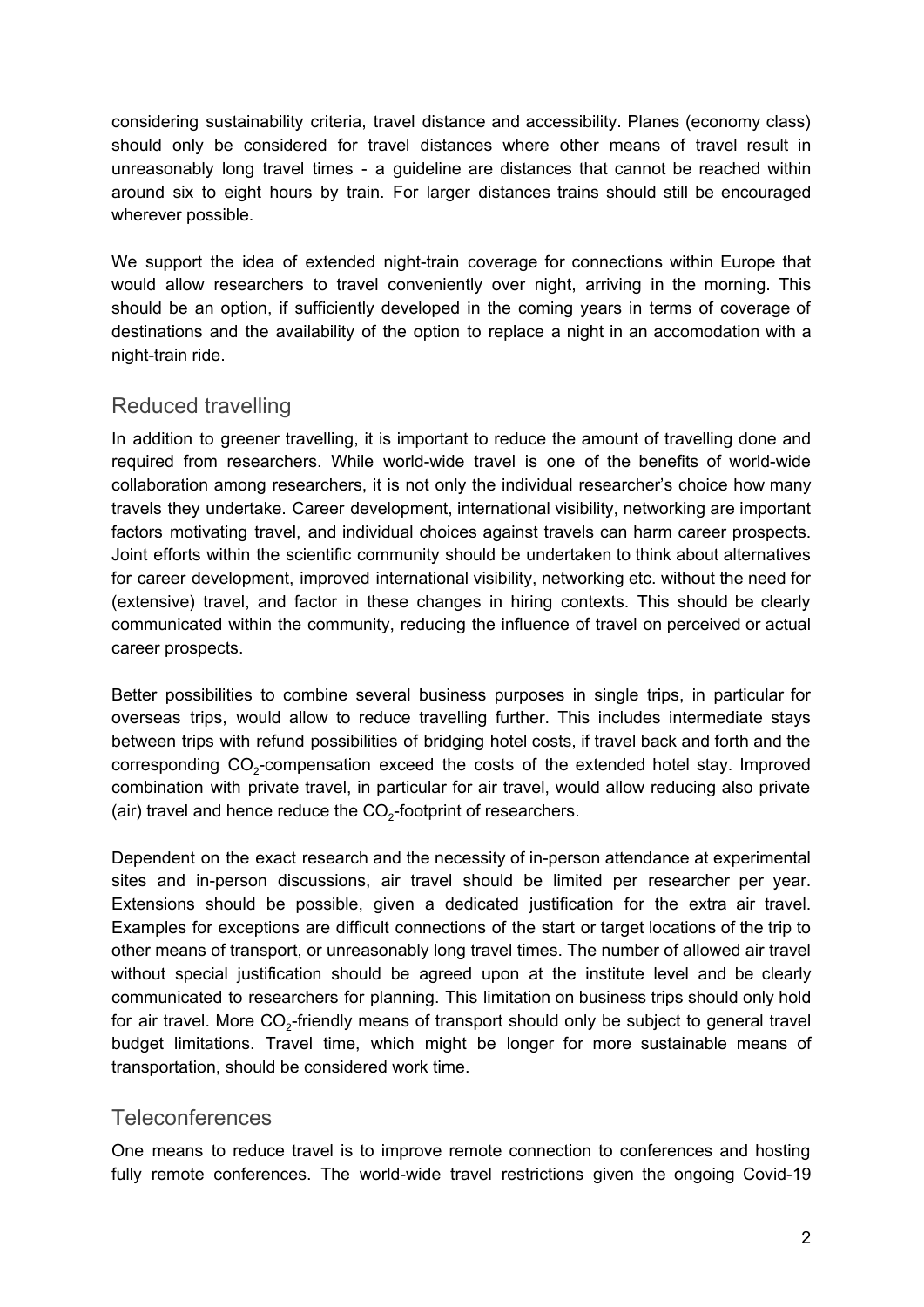considering sustainability criteria, travel distance and accessibility. Planes (economy class) should only be considered for travel distances where other means of travel result in unreasonably long travel times - a guideline are distances that cannot be reached within around six to eight hours by train. For larger distances trains should still be encouraged wherever possible.

We support the idea of extended night-train coverage for connections within Europe that would allow researchers to travel conveniently over night, arriving in the morning. This should be an option, if sufficiently developed in the coming years in terms of coverage of destinations and the availability of the option to replace a night in an accomodation with a night-train ride.

### Reduced travelling

In addition to greener travelling, it is important to reduce the amount of travelling done and required from researchers. While world-wide travel is one of the benefits of world-wide collaboration among researchers, it is not only the individual researcher's choice how many travels they undertake. Career development, international visibility, networking are important factors motivating travel, and individual choices against travels can harm career prospects. Joint efforts within the scientific community should be undertaken to think about alternatives for career development, improved international visibility, networking etc. without the need for (extensive) travel, and factor in these changes in hiring contexts. This should be clearly communicated within the community, reducing the influence of travel on perceived or actual career prospects.

Better possibilities to combine several business purposes in single trips, in particular for overseas trips, would allow to reduce travelling further. This includes intermediate stays between trips with refund possibilities of bridging hotel costs, if travel back and forth and the corresponding  $CO_2$ -compensation exceed the costs of the extended hotel stay. Improved combination with private travel, in particular for air travel, would allow reducing also private (air) travel and hence reduce the  $CO_{2}$ -footprint of researchers.

Dependent on the exact research and the necessity of in-person attendance at experimental sites and in-person discussions, air travel should be limited per researcher per year. Extensions should be possible, given a dedicated justification for the extra air travel. Examples for exceptions are difficult connections of the start or target locations of the trip to other means of transport, or unreasonably long travel times. The number of allowed air travel without special justification should be agreed upon at the institute level and be clearly communicated to researchers for planning. This limitation on business trips should only hold for air travel. More CO<sub>2</sub>-friendly means of transport should only be subject to general travel budget limitations. Travel time, which might be longer for more sustainable means of transportation, should be considered work time.

#### **Teleconferences**

One means to reduce travel is to improve remote connection to conferences and hosting fully remote conferences. The world-wide travel restrictions given the ongoing Covid-19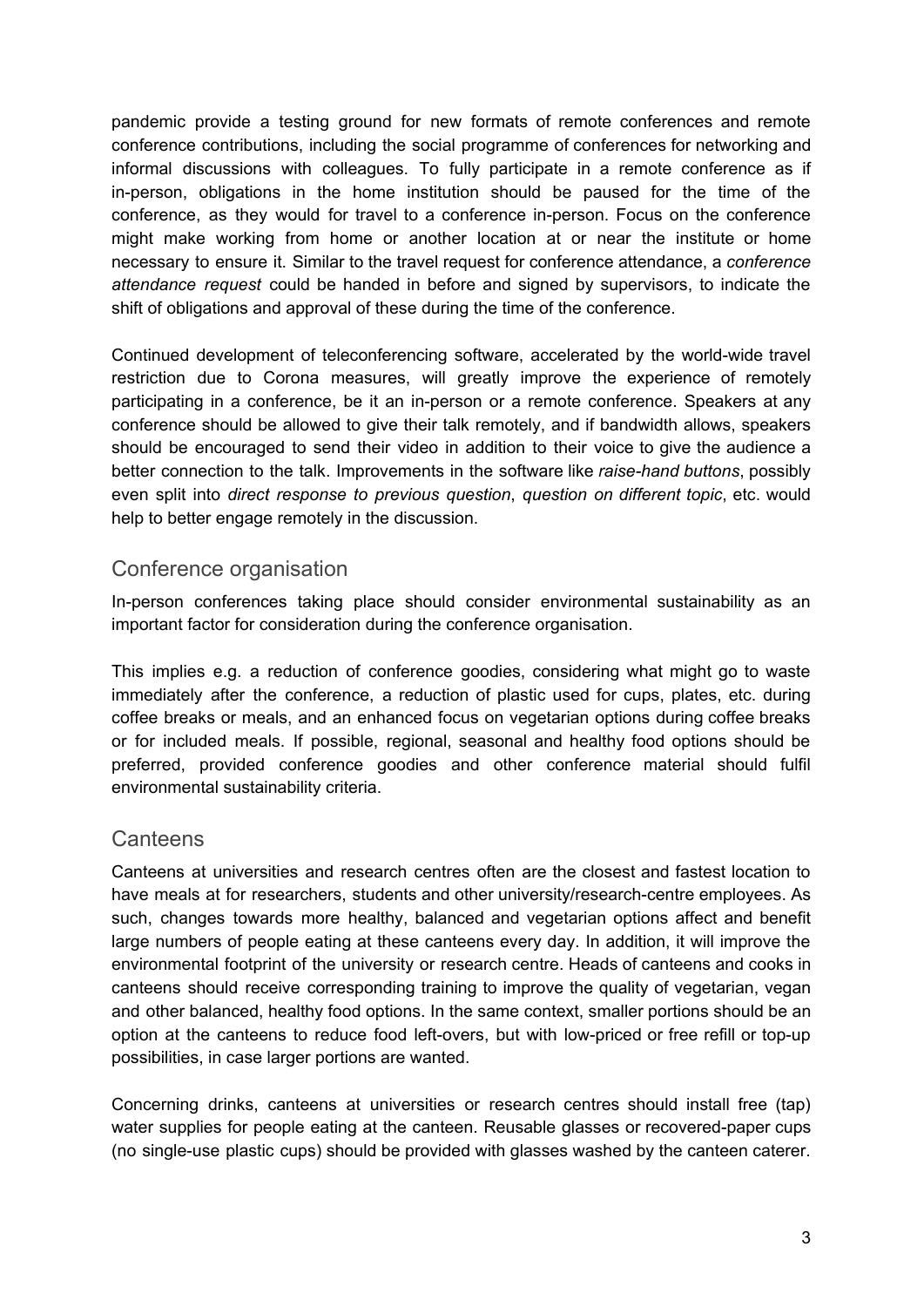pandemic provide a testing ground for new formats of remote conferences and remote conference contributions, including the social programme of conferences for networking and informal discussions with colleagues. To fully participate in a remote conference as if in-person, obligations in the home institution should be paused for the time of the conference, as they would for travel to a conference in-person. Focus on the conference might make working from home or another location at or near the institute or home necessary to ensure it. Similar to the travel request for conference attendance, a *conference attendance request* could be handed in before and signed by supervisors, to indicate the shift of obligations and approval of these during the time of the conference.

Continued development of teleconferencing software, accelerated by the world-wide travel restriction due to Corona measures, will greatly improve the experience of remotely participating in a conference, be it an in-person or a remote conference. Speakers at any conference should be allowed to give their talk remotely, and if bandwidth allows, speakers should be encouraged to send their video in addition to their voice to give the audience a better connection to the talk. Improvements in the software like *raise-hand buttons*, possibly even split into *direct response to previous question*, *question on different topic*, etc. would help to better engage remotely in the discussion.

#### Conference organisation

In-person conferences taking place should consider environmental sustainability as an important factor for consideration during the conference organisation.

This implies e.g. a reduction of conference goodies, considering what might go to waste immediately after the conference, a reduction of plastic used for cups, plates, etc. during coffee breaks or meals, and an enhanced focus on vegetarian options during coffee breaks or for included meals. If possible, regional, seasonal and healthy food options should be preferred, provided conference goodies and other conference material should fulfil environmental sustainability criteria.

#### Canteens

Canteens at universities and research centres often are the closest and fastest location to have meals at for researchers, students and other university/research-centre employees. As such, changes towards more healthy, balanced and vegetarian options affect and benefit large numbers of people eating at these canteens every day. In addition, it will improve the environmental footprint of the university or research centre. Heads of canteens and cooks in canteens should receive corresponding training to improve the quality of vegetarian, vegan and other balanced, healthy food options. In the same context, smaller portions should be an option at the canteens to reduce food left-overs, but with low-priced or free refill or top-up possibilities, in case larger portions are wanted.

Concerning drinks, canteens at universities or research centres should install free (tap) water supplies for people eating at the canteen. Reusable glasses or recovered-paper cups (no single-use plastic cups) should be provided with glasses washed by the canteen caterer.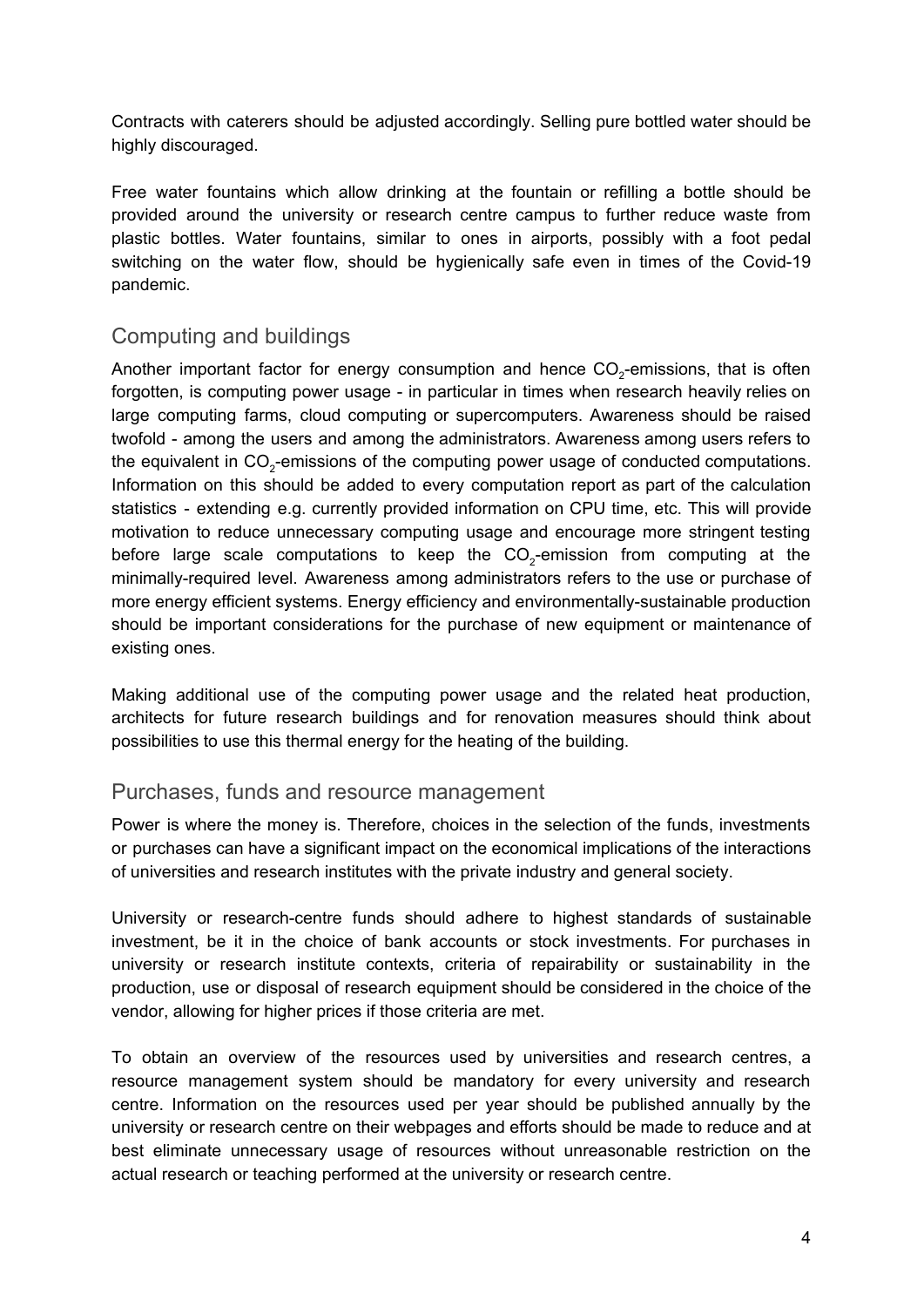Contracts with caterers should be adjusted accordingly. Selling pure bottled water should be highly discouraged.

Free water fountains which allow drinking at the fountain or refilling a bottle should be provided around the university or research centre campus to further reduce waste from plastic bottles. Water fountains, similar to ones in airports, possibly with a foot pedal switching on the water flow, should be hygienically safe even in times of the Covid-19 pandemic.

# Computing and buildings

Another important factor for energy consumption and hence  $CO_{2}$ -emissions, that is often forgotten, is computing power usage - in particular in times when research heavily relies on large computing farms, cloud computing or supercomputers. Awareness should be raised twofold - among the users and among the administrators. Awareness among users refers to the equivalent in CO<sub>2</sub>-emissions of the computing power usage of conducted computations. Information on this should be added to every computation report as part of the calculation statistics - extending e.g. currently provided information on CPU time, etc. This will provide motivation to reduce unnecessary computing usage and encourage more stringent testing before large scale computations to keep the  $CO_2$ -emission from computing at the minimally-required level. Awareness among administrators refers to the use or purchase of more energy efficient systems. Energy efficiency and environmentally-sustainable production should be important considerations for the purchase of new equipment or maintenance of existing ones.

Making additional use of the computing power usage and the related heat production, architects for future research buildings and for renovation measures should think about possibilities to use this thermal energy for the heating of the building.

#### Purchases, funds and resource management

Power is where the money is. Therefore, choices in the selection of the funds, investments or purchases can have a significant impact on the economical implications of the interactions of universities and research institutes with the private industry and general society.

University or research-centre funds should adhere to highest standards of sustainable investment, be it in the choice of bank accounts or stock investments. For purchases in university or research institute contexts, criteria of repairability or sustainability in the production, use or disposal of research equipment should be considered in the choice of the vendor, allowing for higher prices if those criteria are met.

To obtain an overview of the resources used by universities and research centres, a resource management system should be mandatory for every university and research centre. Information on the resources used per year should be published annually by the university or research centre on their webpages and efforts should be made to reduce and at best eliminate unnecessary usage of resources without unreasonable restriction on the actual research or teaching performed at the university or research centre.